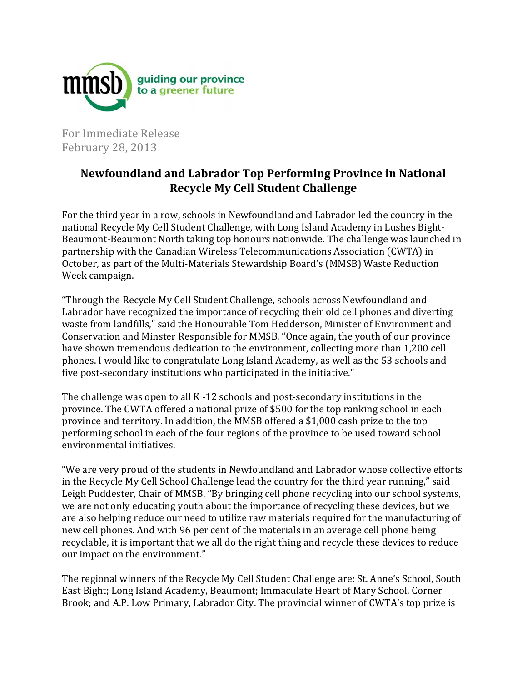

For Immediate Release February 28, 2013

## **Newfoundland and Labrador Top Performing Province in National Recycle My Cell Student Challenge**

For the third year in a row, schools in Newfoundland and Labrador led the country in the national Recycle My Cell Student Challenge, with Long Island Academy in Lushes Bight-Beaumont-Beaumont North taking top honours nationwide. The challenge was launched in partnership with the Canadian Wireless Telecommunications Association (CWTA) in October, as part of the Multi-Materials Stewardship Board's (MMSB) Waste Reduction Week campaign.

"Through the Recycle My Cell Student Challenge, schools across Newfoundland and Labrador have recognized the importance of recycling their old cell phones and diverting waste from landfills," said the Honourable Tom Hedderson, Minister of Environment and Conservation and Minster Responsible for MMSB. "Once again, the youth of our province have shown tremendous dedication to the environment, collecting more than 1,200 cell phones. I would like to congratulate Long Island Academy, as well as the 53 schools and five post-secondary institutions who participated in the initiative."

The challenge was open to all K  $-12$  schools and post-secondary institutions in the province. The CWTA offered a national prize of \$500 for the top ranking school in each province and territory. In addition, the MMSB offered a \$1,000 cash prize to the top performing school in each of the four regions of the province to be used toward school environmental initiatives.

"We are very proud of the students in Newfoundland and Labrador whose collective efforts in the Recycle My Cell School Challenge lead the country for the third year running," said Leigh Puddester, Chair of MMSB. "By bringing cell phone recycling into our school systems. we are not only educating youth about the importance of recycling these devices, but we are also helping reduce our need to utilize raw materials required for the manufacturing of new cell phones. And with 96 per cent of the materials in an average cell phone being recyclable, it is important that we all do the right thing and recycle these devices to reduce our impact on the environment."

The regional winners of the Recycle My Cell Student Challenge are: St. Anne's School, South East Bight; Long Island Academy, Beaumont; Immaculate Heart of Mary School, Corner Brook; and A.P. Low Primary, Labrador City. The provincial winner of CWTA's top prize is